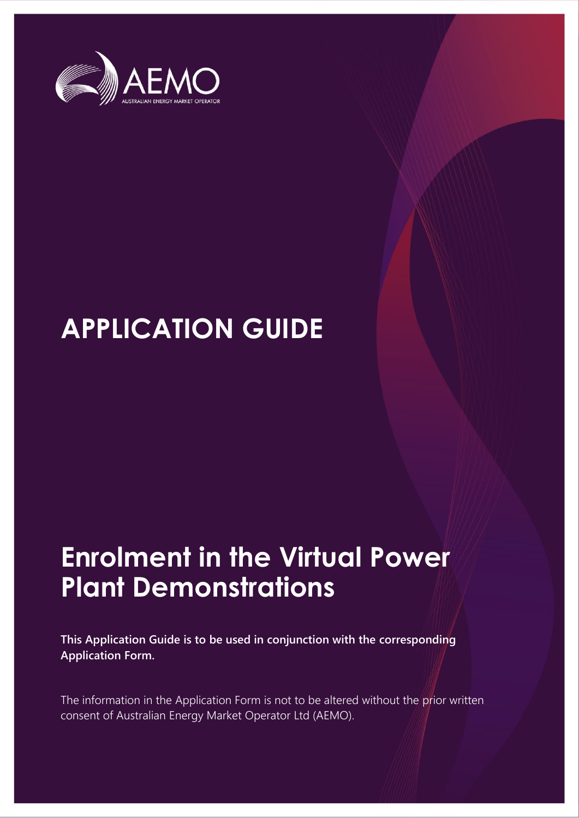

# **APPLICATION GUIDE**

# **Enrolment in the Virtual Power Plant Demonstrations**

**This Application Guide is to be used in conjunction with the corresponding Application Form.**

The information in the Application Form is not to be altered without the prior written consent of Australian Energy Market Operator Ltd (AEMO).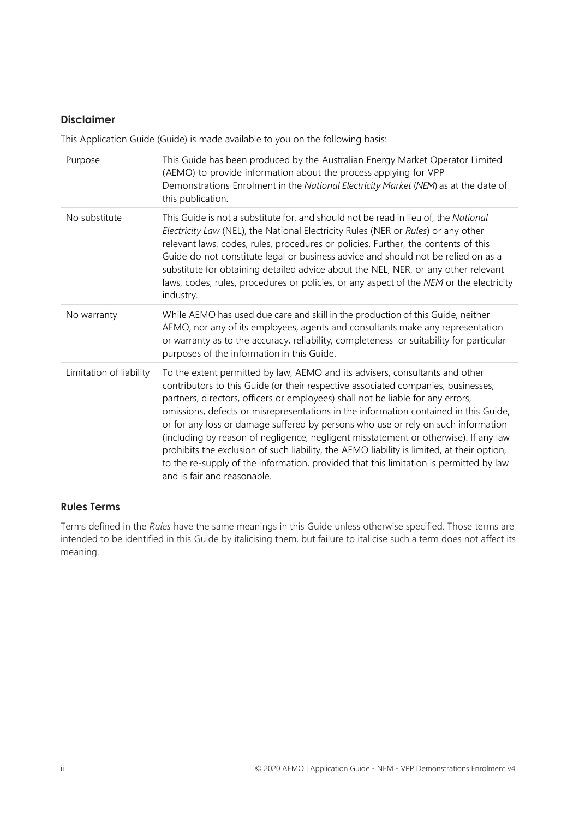#### **Disclaimer**

This Application Guide (Guide) is made available to you on the following basis:

| Purpose                 | This Guide has been produced by the Australian Energy Market Operator Limited<br>(AEMO) to provide information about the process applying for VPP<br>Demonstrations Enrolment in the National Electricity Market (NEM) as at the date of<br>this publication.                                                                                                                                                                                                                                                                                                                                                                                                                                                                                    |
|-------------------------|--------------------------------------------------------------------------------------------------------------------------------------------------------------------------------------------------------------------------------------------------------------------------------------------------------------------------------------------------------------------------------------------------------------------------------------------------------------------------------------------------------------------------------------------------------------------------------------------------------------------------------------------------------------------------------------------------------------------------------------------------|
| No substitute           | This Guide is not a substitute for, and should not be read in lieu of, the National<br>Electricity Law (NEL), the National Electricity Rules (NER or Rules) or any other<br>relevant laws, codes, rules, procedures or policies. Further, the contents of this<br>Guide do not constitute legal or business advice and should not be relied on as a<br>substitute for obtaining detailed advice about the NEL, NER, or any other relevant<br>laws, codes, rules, procedures or policies, or any aspect of the NEM or the electricity<br>industry.                                                                                                                                                                                                |
| No warranty             | While AEMO has used due care and skill in the production of this Guide, neither<br>AEMO, nor any of its employees, agents and consultants make any representation<br>or warranty as to the accuracy, reliability, completeness or suitability for particular<br>purposes of the information in this Guide.                                                                                                                                                                                                                                                                                                                                                                                                                                       |
| Limitation of liability | To the extent permitted by law, AEMO and its advisers, consultants and other<br>contributors to this Guide (or their respective associated companies, businesses,<br>partners, directors, officers or employees) shall not be liable for any errors,<br>omissions, defects or misrepresentations in the information contained in this Guide,<br>or for any loss or damage suffered by persons who use or rely on such information<br>(including by reason of negligence, negligent misstatement or otherwise). If any law<br>prohibits the exclusion of such liability, the AEMO liability is limited, at their option,<br>to the re-supply of the information, provided that this limitation is permitted by law<br>and is fair and reasonable. |

#### **Rules Terms**

Terms defined in the *Rules* have the same meanings in this Guide unless otherwise specified. Those terms are intended to be identified in this Guide by italicising them, but failure to italicise such a term does not affect its meaning.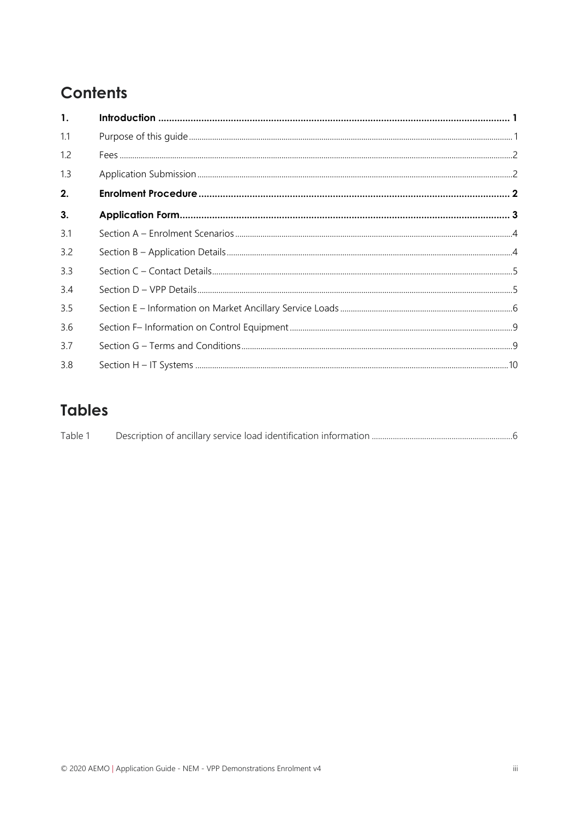# Contents

| 1.  |  |
|-----|--|
| 1.1 |  |
| 1.2 |  |
| 1.3 |  |
| 2.  |  |
| 3.  |  |
| 3.1 |  |
| 3.2 |  |
| 3.3 |  |
| 3.4 |  |
| 3.5 |  |
| 3.6 |  |
| 37  |  |
| 3.8 |  |

# **Tables**

| Table 1 |  |  |
|---------|--|--|
|         |  |  |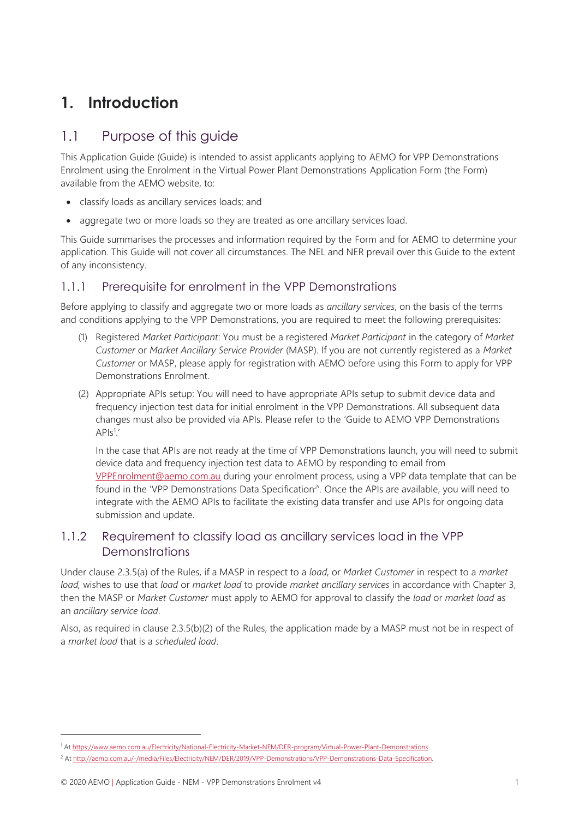# <span id="page-4-0"></span>**1. Introduction**

## <span id="page-4-1"></span>1.1 Purpose of this guide

This Application Guide (Guide) is intended to assist applicants applying to AEMO for VPP Demonstrations Enrolment using the Enrolment in the Virtual Power Plant Demonstrations Application Form (the Form) available from the AEMO website, to:

- classify loads as ancillary services loads; and
- aggregate two or more loads so they are treated as one ancillary services load.

This Guide summarises the processes and information required by the Form and for AEMO to determine your application. This Guide will not cover all circumstances. The NEL and NER prevail over this Guide to the extent of any inconsistency.

#### 1.1.1 Prerequisite for enrolment in the VPP Demonstrations

Before applying to classify and aggregate two or more loads as *ancillary services*, on the basis of the terms and conditions applying to the VPP Demonstrations, you are required to meet the following prerequisites:

- (1) Registered *Market Participant*: You must be a registered *Market Participant* in the category of *Market Customer* or *Market Ancillary Service Provider* (MASP). If you are not currently registered as a *Market Customer* or MASP, please apply for registration with AEMO before using this Form to apply for VPP Demonstrations Enrolment.
- (2) Appropriate APIs setup: You will need to have appropriate APIs setup to submit device data and frequency injection test data for initial enrolment in the VPP Demonstrations. All subsequent data changes must also be provided via APIs. Please refer to the 'Guide to AEMO VPP Demonstrations  $APIs<sup>1</sup>$ .

In the case that APIs are not ready at the time of VPP Demonstrations launch, you will need to submit device data and frequency injection test data to AEMO by responding to email from [VPPEnrolment@aemo.com.au](mailto:VPPEnrolment@aemo.com.au) during your enrolment process, using a VPP data template that can be found in the 'VPP Demonstrations Data Specification*<sup>2</sup>* '*.* Once the APIs are available, you will need to integrate with the AEMO APIs to facilitate the existing data transfer and use APIs for ongoing data submission and update.

#### 1.1.2 Requirement to classify load as ancillary services load in the VPP Demonstrations

Under clause 2.3.5(a) of the Rules, if a MASP in respect to a *load*, or *Market Customer* in respect to a *market load,* wishes to use that *load* or *market load* to provide *market ancillary services* in accordance with Chapter 3, then the MASP or *Market Customer* must apply to AEMO for approval to classify the *load* or *market load* as an *ancillary service load*.

Also, as required in clause 2.3.5(b)(2) of the Rules, the application made by a MASP must not be in respect of a *market load* that is a *scheduled load*.

<sup>1</sup> A[t https://www.aemo.com.au/Electricity/National-Electricity-Market-NEM/DER-program/Virtual-Power-Plant-Demonstrations.](https://www.aemo.com.au/Electricity/National-Electricity-Market-NEM/DER-program/Virtual-Power-Plant-Demonstrations)

<sup>2</sup> A[t http://aemo.com.au/-/media/Files/Electricity/NEM/DER/2019/VPP-Demonstrations/VPP-Demonstrations-Data-Specification.](http://aemo.com.au/-/media/Files/Electricity/NEM/DER/2019/VPP-Demonstrations/VPP-Demonstrations-Data-Specification)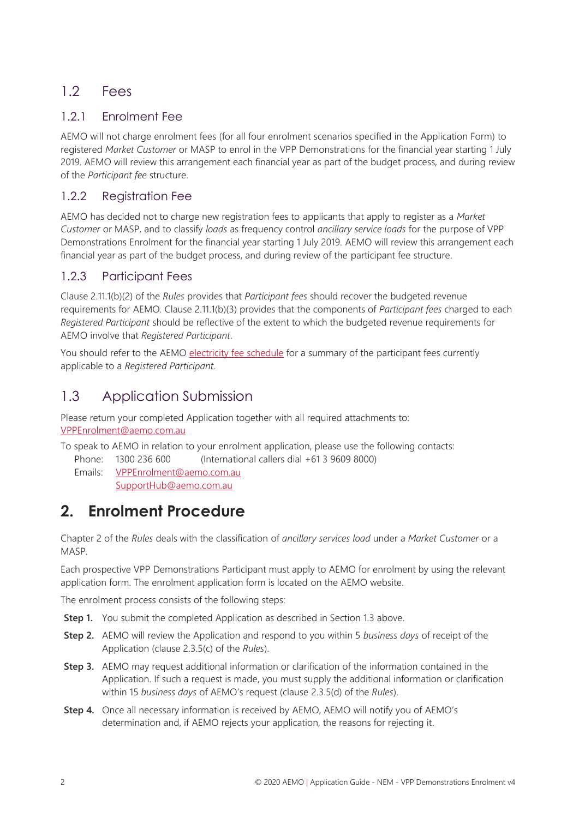## <span id="page-5-0"></span>1.2 Fees

### 1.2.1 Enrolment Fee

AEMO will not charge enrolment fees (for all four enrolment scenarios specified in the Application Form) to registered *Market Customer* or MASP to enrol in the VPP Demonstrations for the financial year starting 1 July 2019. AEMO will review this arrangement each financial year as part of the budget process, and during review of the *Participant fee* structure.

#### 1.2.2 Registration Fee

AEMO has decided not to charge new registration fees to applicants that apply to register as a *Market Customer* or MASP, and to classify *loads* as frequency control *ancillary service loads* for the purpose of VPP Demonstrations Enrolment for the financial year starting 1 July 2019. AEMO will review this arrangement each financial year as part of the budget process, and during review of the participant fee structure.

#### 1.2.3 Participant Fees

Clause 2.11.1(b)(2) of the *Rules* provides that *Participant fees* should recover the budgeted revenue requirements for AEMO*.* Clause 2.11.1(b)(3) provides that the components of *Participant fees* charged to each *Registered Participant* should be reflective of the extent to which the budgeted revenue requirements for AEMO involve that *Registered Participant*.

You should refer to the AEMO [electricity fee schedule](https://www.aemo.com.au/Electricity/National-Electricity-Market-NEM/Participant-information/Fees-and-charges.) for a summary of the participant fees currently applicable to a *Registered Participant*.

## <span id="page-5-1"></span>1.3 Application Submission

Please return your completed Application together with all required attachments to: [VPPEnrolment@aemo.com.au](mailto:VPPEnrolment@aemo.com.au)

To speak to AEMO in relation to your enrolment application, please use the following contacts:

Phone: 1300 236 600 (International callers dial +61 3 9609 8000)

Emails: [VPPEnrolment@aemo.com.au](mailto:VPPEnrolment@aemo.com.au)

[SupportHub@aemo.com.au](https://aemocloud.sharepoint.com/sites/DERProgram/Shared%20Documents/P1424%20-%20Trials%20Phase%201%20(VPP)/1.%20VPP%20Trials/VPP%20registration/Forms%20and%20Guides/SupportHub@aemo.com.au)

# <span id="page-5-2"></span>**2. Enrolment Procedure**

Chapter 2 of the *Rules* deals with the classification of *ancillary services load* under a *Market Customer* or a MASP.

Each prospective VPP Demonstrations Participant must apply to AEMO for enrolment by using the relevant application form. The enrolment application form is located on the AEMO website.

The enrolment process consists of the following steps:

- **Step 1.** You submit the completed Application as described in Section [1.3](#page-5-1) above.
- **Step 2.** AEMO will review the Application and respond to you within 5 *business days* of receipt of the Application (clause 2.3.5(c) of the *Rules*).
- **Step 3.** AEMO may request additional information or clarification of the information contained in the Application. If such a request is made, you must supply the additional information or clarification within 15 *business days* of AEMO's request (clause 2.3.5(d) of the *Rules*).
- **Step 4.** Once all necessary information is received by AEMO, AEMO will notify you of AEMO's determination and, if AEMO rejects your application, the reasons for rejecting it.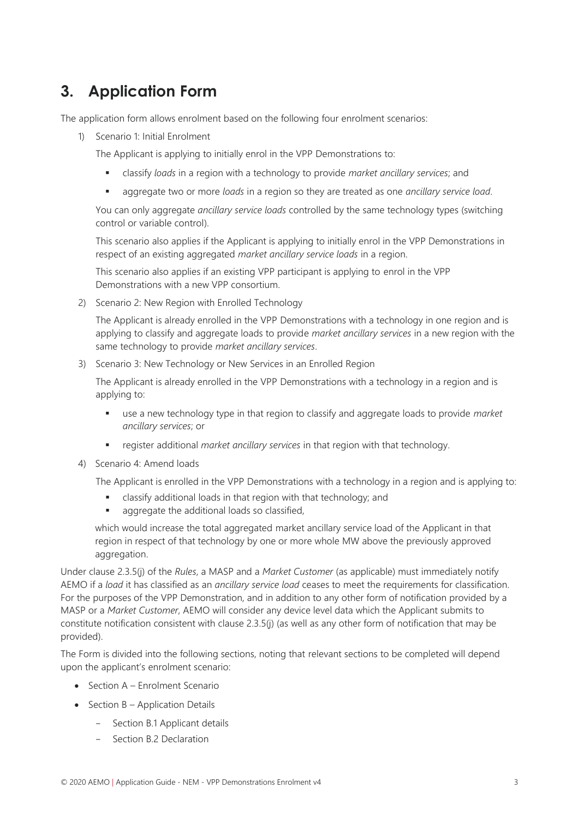# <span id="page-6-0"></span>**3. Application Form**

The application form allows enrolment based on the following four enrolment scenarios:

1) Scenario 1: Initial Enrolment

The Applicant is applying to initially enrol in the VPP Demonstrations to:

- classify *loads* in a region with a technology to provide *market ancillary services*; and
- aggregate two or more *loads* in a region so they are treated as one *ancillary service load*.

You can only aggregate *ancillary service loads* controlled by the same technology types (switching control or variable control).

This scenario also applies if the Applicant is applying to initially enrol in the VPP Demonstrations in respect of an existing aggregated *market ancillary service loads* in a region.

This scenario also applies if an existing VPP participant is applying to enrol in the VPP Demonstrations with a new VPP consortium.

2) Scenario 2: New Region with Enrolled Technology

The Applicant is already enrolled in the VPP Demonstrations with a technology in one region and is applying to classify and aggregate loads to provide *market ancillary services* in a new region with the same technology to provide *market ancillary services*.

3) Scenario 3: New Technology or New Services in an Enrolled Region

The Applicant is already enrolled in the VPP Demonstrations with a technology in a region and is applying to:

- use a new technology type in that region to classify and aggregate loads to provide *market ancillary services*; or
- register additional *market ancillary services* in that region with that technology.
- 4) Scenario 4: Amend loads

The Applicant is enrolled in the VPP Demonstrations with a technology in a region and is applying to:

- classify additional loads in that region with that technology; and
- aggregate the additional loads so classified.

which would increase the total aggregated market ancillary service load of the Applicant in that region in respect of that technology by one or more whole MW above the previously approved aggregation.

Under clause 2.3.5(j) of the *Rules*, a MASP and a *Market Customer* (as applicable) must immediately notify AEMO if a *load* it has classified as an *ancillary service load* ceases to meet the requirements for classification. For the purposes of the VPP Demonstration, and in addition to any other form of notification provided by a MASP or a *Market Customer*, AEMO will consider any device level data which the Applicant submits to constitute notification consistent with clause 2.3.5(j) (as well as any other form of notification that may be provided).

The Form is divided into the following sections, noting that relevant sections to be completed will depend upon the applicant's enrolment scenario:

- Section A Enrolment Scenario
- Section B Application Details
	- Section B.1 Applicant details
	- Section B.2 Declaration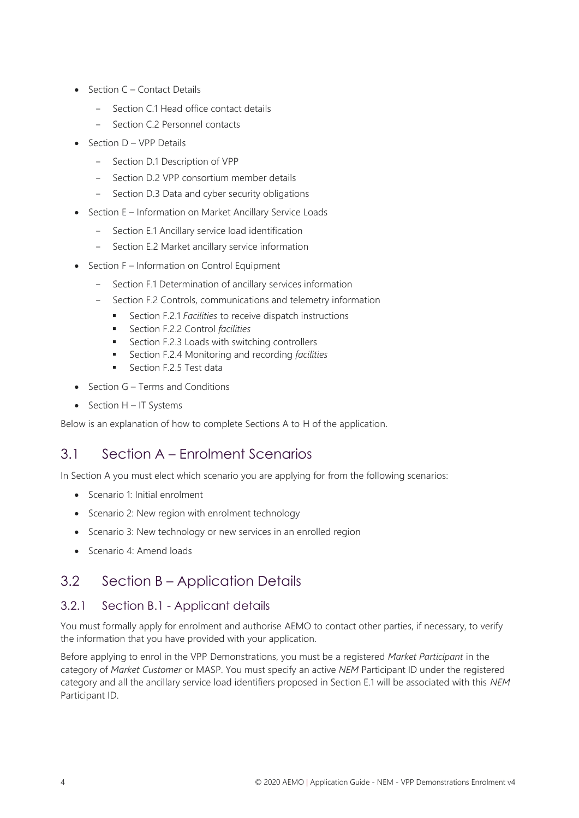- Section C Contact Details
	- Section C.1 Head office contact details
	- Section C.2 Personnel contacts
- Section D VPP Details
	- Section D.1 Description of VPP
	- Section D.2 VPP consortium member details
	- Section D.3 Data and cyber security obligations
- Section E Information on Market Ancillary Service Loads
	- Section E.1 Ancillary service load identification
	- Section E.2 Market ancillary service information
- Section F Information on Control Equipment
	- Section F.1 Determination of ancillary services information
	- Section F.2 Controls, communications and telemetry information
		- Section F.2.1 *Facilities* to receive dispatch instructions
		- Section F.2.2 Control *facilities*
		- Section F.2.3 Loads with switching controllers
		- Section F.2.4 Monitoring and recording *facilities*
		- Section F.2.5 Test data
- Section G Terms and Conditions
- Section H IT Systems

Below is an explanation of how to complete Sections A to H of the application.

## <span id="page-7-0"></span>3.1 Section A – Enrolment Scenarios

In Section A you must elect which scenario you are applying for from the following scenarios:

- Scenario 1: Initial enrolment
- Scenario 2: New region with enrolment technology
- Scenario 3: New technology or new services in an enrolled region
- Scenario 4: Amend loads

## <span id="page-7-1"></span>3.2 Section B – Application Details

#### 3.2.1 Section B.1 - Applicant details

You must formally apply for enrolment and authorise AEMO to contact other parties, if necessary, to verify the information that you have provided with your application.

Before applying to enrol in the VPP Demonstrations, you must be a registered *Market Participant* in the category of *Market Customer* or MASP. You must specify an active *NEM* Participant ID under the registered category and all the ancillary service load identifiers proposed in Section E.1 will be associated with this *NEM* Participant ID.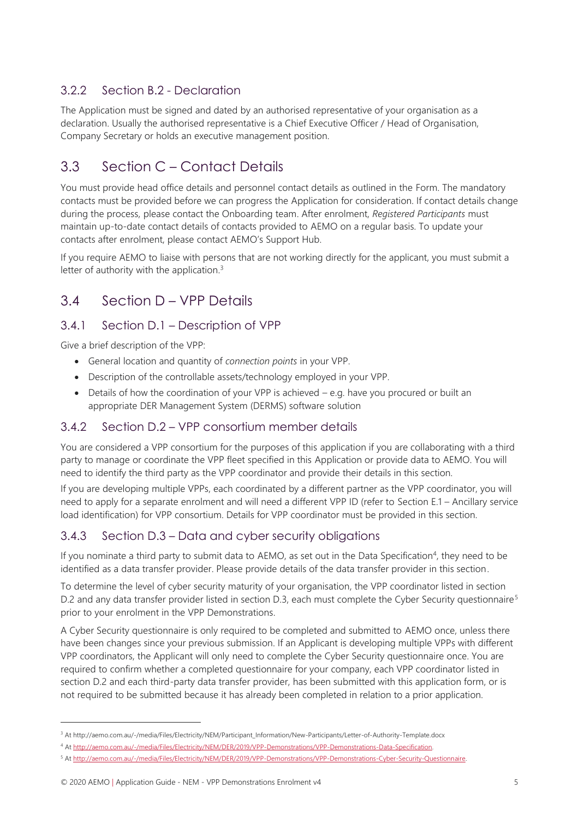### 3.2.2 Section B.2 - Declaration

The Application must be signed and dated by an authorised representative of your organisation as a declaration. Usually the authorised representative is a Chief Executive Officer / Head of Organisation, Company Secretary or holds an executive management position.

## <span id="page-8-0"></span>3.3 Section C – Contact Details

You must provide head office details and personnel contact details as outlined in the Form. The mandatory contacts must be provided before we can progress the Application for consideration. If contact details change during the process, please contact the Onboarding team. After enrolment, *Registered Participants* must maintain up-to-date contact details of contacts provided to AEMO on a regular basis. To update your contacts after enrolment, please contact AEMO's Support Hub.

If you require AEMO to liaise with persons that are not working directly for the applicant, you must submit a letter of authority with the application.<sup>3</sup>

## <span id="page-8-1"></span>3.4 Section D – VPP Details

#### 3.4.1 Section D.1 – Description of VPP

Give a brief description of the VPP:

- General location and quantity of *connection points* in your VPP.
- Description of the controllable assets/technology employed in your VPP.
- Details of how the coordination of your VPP is achieved e.g. have you procured or built an appropriate DER Management System (DERMS) software solution

#### 3.4.2 Section D.2 – VPP consortium member details

You are considered a VPP consortium for the purposes of this application if you are collaborating with a third party to manage or coordinate the VPP fleet specified in this Application or provide data to AEMO. You will need to identify the third party as the VPP coordinator and provide their details in this section.

If you are developing multiple VPPs, each coordinated by a different partner as the VPP coordinator, you will need to apply for a separate enrolment and will need a different VPP ID (refer to Section E.1 – [Ancillary service](#page-9-2)  [load identification\)](#page-9-2) for VPP consortium. Details for VPP coordinator must be provided in this section.

## 3.4.3 Section D.3 – Data and cyber security obligations

If you nominate a third party to submit data to AEMO, as set out in the Data Specification<sup>4</sup>, they need to be identified as a data transfer provider. Please provide details of the data transfer provider in this section.

To determine the level of cyber security maturity of your organisation, the VPP coordinator listed in section D.2 and any data transfer provider listed in section D.3, each must complete the Cyber Security questionnaire<sup>5</sup> prior to your enrolment in the VPP Demonstrations.

A Cyber Security questionnaire is only required to be completed and submitted to AEMO once, unless there have been changes since your previous submission. If an Applicant is developing multiple VPPs with different VPP coordinators, the Applicant will only need to complete the Cyber Security questionnaire once. You are required to confirm whether a completed questionnaire for your company, each VPP coordinator listed in section D.2 and each third-party data transfer provider, has been submitted with this application form, or is not required to be submitted because it has already been completed in relation to a prior application.

<sup>3</sup> At http://aemo.com.au/-/media/Files/Electricity/NEM/Participant\_Information/New-Participants/Letter-of-Authority-Template.docx

<sup>4</sup> A[t http://aemo.com.au/-/media/Files/Electricity/NEM/DER/2019/VPP-Demonstrations/VPP-Demonstrations-Data-Specification.](http://aemo.com.au/-/media/Files/Electricity/NEM/DER/2019/VPP-Demonstrations/VPP-Demonstrations-Data-Specification)

<sup>5</sup> A[t http://aemo.com.au/-/media/Files/Electricity/NEM/DER/2019/VPP-Demonstrations/VPP-Demonstrations-Cyber-Security-Questionnaire.](http://aemo.com.au/-/media/Files/Electricity/NEM/DER/2019/VPP-Demonstrations/VPP-Demonstrations-Cyber-Security-Questionnaire)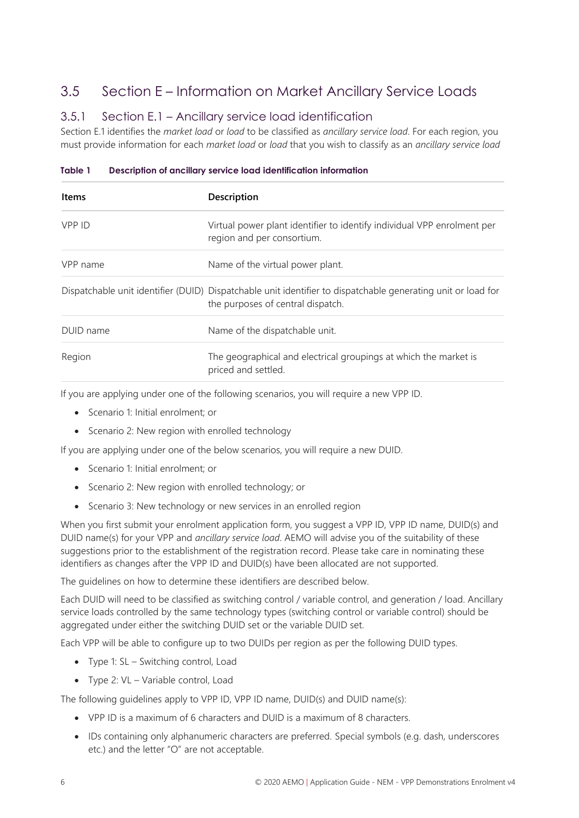## <span id="page-9-0"></span>3.5 Section E – Information on Market Ancillary Service Loads

#### <span id="page-9-2"></span>3.5.1 Section E.1 – Ancillary service load identification

Section E.1 identifies the *market load* or *load* to be classified as *ancillary service load*. For each region, you must provide information for each *market load* or *load* that you wish to classify as an *ancillary service load*

| <b>Items</b> | Description                                                                                                                                       |
|--------------|---------------------------------------------------------------------------------------------------------------------------------------------------|
| VPP ID       | Virtual power plant identifier to identify individual VPP enrolment per<br>region and per consortium.                                             |
| VPP name     | Name of the virtual power plant.                                                                                                                  |
|              | Dispatchable unit identifier (DUID) Dispatchable unit identifier to dispatchable generating unit or load for<br>the purposes of central dispatch. |
| DUID name    | Name of the dispatchable unit.                                                                                                                    |
| Region       | The geographical and electrical groupings at which the market is<br>priced and settled.                                                           |

<span id="page-9-1"></span>**Table 1 Description of ancillary service load identification information**

If you are applying under one of the following scenarios, you will require a new VPP ID.

- Scenario 1: Initial enrolment; or
- Scenario 2: New region with enrolled technology

If you are applying under one of the below scenarios, you will require a new DUID.

- Scenario 1: Initial enrolment; or
- Scenario 2: New region with enrolled technology; or
- Scenario 3: New technology or new services in an enrolled region

When you first submit your enrolment application form, you suggest a VPP ID, VPP ID name, DUID(s) and DUID name(s) for your VPP and *ancillary service load*. AEMO will advise you of the suitability of these suggestions prior to the establishment of the registration record. Please take care in nominating these identifiers as changes after the VPP ID and DUID(s) have been allocated are not supported.

The guidelines on how to determine these identifiers are described below.

Each DUID will need to be classified as switching control / variable control, and generation / load. Ancillary service loads controlled by the same technology types (switching control or variable control) should be aggregated under either the switching DUID set or the variable DUID set.

Each VPP will be able to configure up to two DUIDs per region as per the following DUID types.

- Type 1: SL Switching control, Load
- Type 2: VL Variable control, Load

The following guidelines apply to VPP ID, VPP ID name, DUID(s) and DUID name(s):

- VPP ID is a maximum of 6 characters and DUID is a maximum of 8 characters.
- IDs containing only alphanumeric characters are preferred. Special symbols (e.g. dash, underscores etc.) and the letter "O" are not acceptable.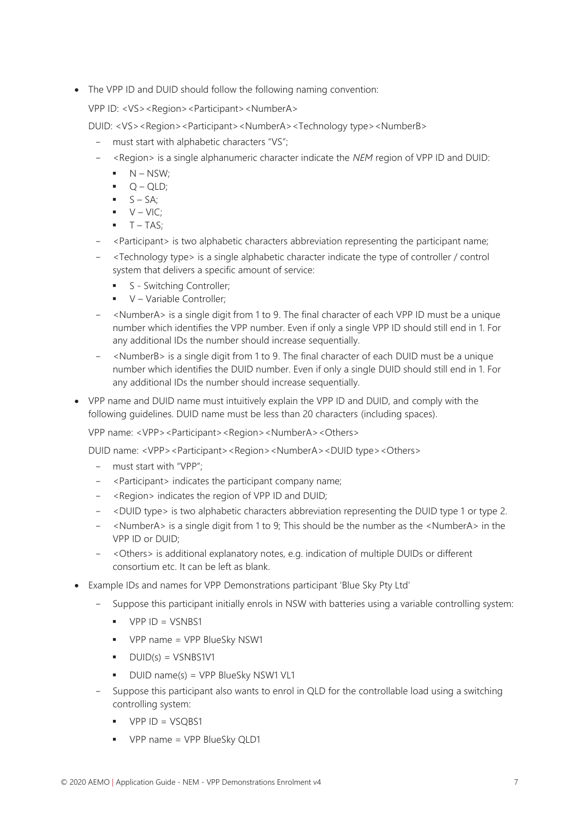• The VPP ID and DUID should follow the following naming convention:

VPP ID: <VS><Region><Participant><NumberA>

DUID: <VS><Region><Participant><NumberA><Technology type><NumberB>

- must start with alphabetic characters "VS";
- <Region> is a single alphanumeric character indicate the *NEM* region of VPP ID and DUID:
	- $\blacksquare$  N NSW;
	- $Q QLD;$
	- $\bullet$   $S SA$ ;
	- $\blacksquare$   $V VIC$ ;
	- $T TAS$ ;
- <Participant> is two alphabetic characters abbreviation representing the participant name;
- <Technology type> is a single alphabetic character indicate the type of controller / control system that delivers a specific amount of service:
	- **•** S Switching Controller;
	- V Variable Controller;
- <NumberA> is a single digit from 1 to 9. The final character of each VPP ID must be a unique number which identifies the VPP number. Even if only a single VPP ID should still end in 1. For any additional IDs the number should increase sequentially.
- <NumberB> is a single digit from 1 to 9. The final character of each DUID must be a unique number which identifies the DUID number. Even if only a single DUID should still end in 1. For any additional IDs the number should increase sequentially.
- VPP name and DUID name must intuitively explain the VPP ID and DUID, and comply with the following guidelines. DUID name must be less than 20 characters (including spaces).

VPP name: <VPP><Participant><Region><NumberA><Others>

DUID name: <VPP><Participant><Region><NumberA><DUID type><Others>

- must start with "VPP";
- <Participant> indicates the participant company name;
- <Region> indicates the region of VPP ID and DUID;
- <DUID type> is two alphabetic characters abbreviation representing the DUID type 1 or type 2.
- <NumberA> is a single digit from 1 to 9; This should be the number as the <NumberA> in the VPP ID or DUID;
- <Others> is additional explanatory notes, e.g. indication of multiple DUIDs or different consortium etc. It can be left as blank.
- Example IDs and names for VPP Demonstrations participant 'Blue Sky Pty Ltd'
	- Suppose this participant initially enrols in NSW with batteries using a variable controlling system:
		- VPP ID = VSNBS1
		- VPP name = VPP BlueSky NSW1
		- $\bullet$  DUID(s) = VSNBS1V1
		- DUID name(s) = VPP BlueSky NSW1 VL1
	- Suppose this participant also wants to enrol in QLD for the controllable load using a switching controlling system:
		- VPP ID = VSOBS1
		- VPP name = VPP BlueSky QLD1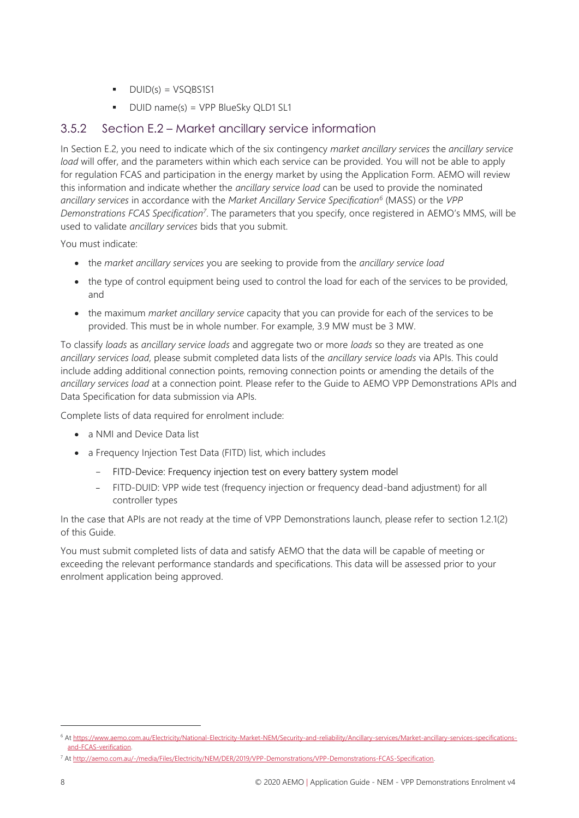- $\nightharpoonup$  DUID(s) = VSQBS1S1
- DUID name(s) = VPP BlueSky QLD1 SL1

#### 3.5.2 Section E.2 – Market ancillary service information

In Section E.2, you need to indicate which of the six contingency *market ancillary services* the *ancillary service load* will offer, and the parameters within which each service can be provided. You will not be able to apply for regulation FCAS and participation in the energy market by using the Application Form. AEMO will review this information and indicate whether the *ancillary service load* can be used to provide the nominated *ancillary services* in accordance with the *Market Ancillary Service Specification<sup>6</sup>* (MASS) or the *VPP Demonstrations FCAS Specification<sup>7</sup>* . The parameters that you specify, once registered in AEMO's MMS, will be used to validate *ancillary services* bids that you submit.

You must indicate:

- the *market ancillary services* you are seeking to provide from the *ancillary service load*
- the type of control equipment being used to control the load for each of the services to be provided, and
- the maximum *market ancillary service* capacity that you can provide for each of the services to be provided. This must be in whole number. For example, 3.9 MW must be 3 MW.

To classify *loads* as *ancillary service loads* and aggregate two or more *loads* so they are treated as one *ancillary services load*, please submit completed data lists of the *ancillary service loads* via APIs. This could include adding additional connection points, removing connection points or amending the details of the *ancillary services load* at a connection point. Please refer to the Guide to AEMO VPP Demonstrations APIs and Data Specification for data submission via APIs.

Complete lists of data required for enrolment include:

- a NMI and Device Data list
- a Frequency Injection Test Data (FITD) list, which includes
	- FITD-Device: Frequency injection test on every battery system model
	- FITD-DUID: VPP wide test (frequency injection or frequency dead-band adjustment) for all controller types

In the case that APIs are not ready at the time of VPP Demonstrations launch, please refer to section 1.2.1(2) of this Guide.

You must submit completed lists of data and satisfy AEMO that the data will be capable of meeting or exceeding the relevant performance standards and specifications. This data will be assessed prior to your enrolment application being approved.

<sup>&</sup>lt;sup>6</sup> A[t https://www.aemo.com.au/Electricity/National-Electricity-Market-NEM/Security-and-reliability/Ancillary-services/Market-ancillary-services-specifications](https://www.aemo.com.au/Electricity/National-Electricity-Market-NEM/Security-and-reliability/Ancillary-services/Market-ancillary-services-specifications-and-FCAS-verification)[and-FCAS-verification.](https://www.aemo.com.au/Electricity/National-Electricity-Market-NEM/Security-and-reliability/Ancillary-services/Market-ancillary-services-specifications-and-FCAS-verification)

<sup>7</sup> A[t http://aemo.com.au/-/media/Files/Electricity/NEM/DER/2019/VPP-Demonstrations/VPP-Demonstrations-FCAS-Specification.](http://aemo.com.au/-/media/Files/Electricity/NEM/DER/2019/VPP-Demonstrations/VPP-Demonstrations-FCAS-Specification)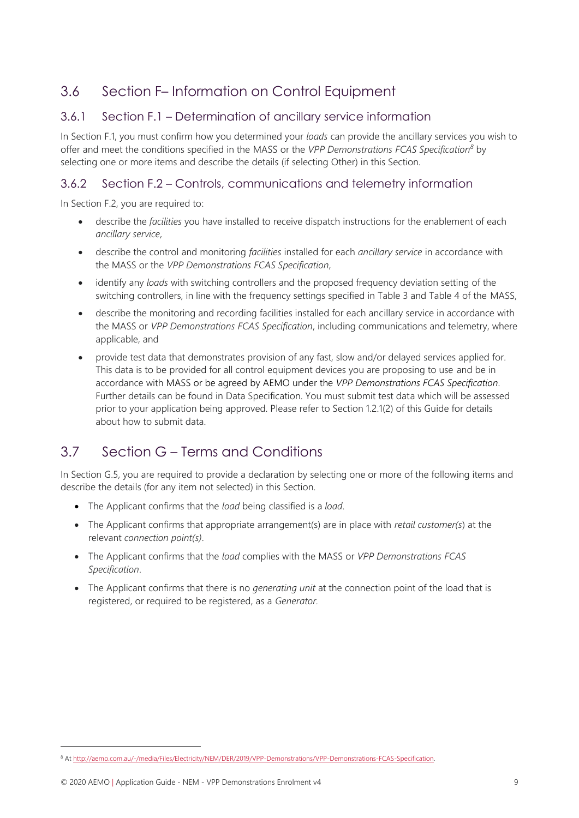## <span id="page-12-0"></span>3.6 Section F– Information on Control Equipment

#### 3.6.1 Section F.1 – Determination of ancillary service information

In Section F.1, you must confirm how you determined your *loads* can provide the ancillary services you wish to offer and meet the conditions specified in the MASS or the *VPP Demonstrations FCAS Specification<sup>8</sup>* by selecting one or more items and describe the details (if selecting Other) in this Section.

#### 3.6.2 Section F.2 – Controls, communications and telemetry information

In Section F.2, you are required to:

- describe the *facilities* you have installed to receive dispatch instructions for the enablement of each *ancillary service*,
- describe the control and monitoring *facilities* installed for each *ancillary service* in accordance with the MASS or the *VPP Demonstrations FCAS Specification*,
- identify any *loads* with switching controllers and the proposed frequency deviation setting of the switching controllers, in line with the frequency settings specified in Table 3 and Table 4 of the MASS,
- describe the monitoring and recording facilities installed for each ancillary service in accordance with the MASS or *VPP Demonstrations FCAS Specification*, including communications and telemetry, where applicable, and
- provide test data that demonstrates provision of any fast, slow and/or delayed services applied for. This data is to be provided for all control equipment devices you are proposing to use and be in accordance with MASS or be agreed by AEMO under the *VPP Demonstrations FCAS Specification*. Further details can be found in Data Specification. You must submit test data which will be assessed prior to your application being approved. Please refer to Section 1.2.1(2) of this Guide for details about how to submit data.

## <span id="page-12-1"></span>3.7 Section G – Terms and Conditions

In Section G.5, you are required to provide a declaration by selecting one or more of the following items and describe the details (for any item not selected) in this Section.

- The Applicant confirms that the *load* being classified is a *load*.
- The Applicant confirms that appropriate arrangement(s) are in place with *retail customer(s*) at the relevant *connection point(s)*.
- The Applicant confirms that the *load* complies with the MASS or *VPP Demonstrations FCAS Specification*.
- The Applicant confirms that there is no *generating unit* at the connection point of the load that is registered, or required to be registered, as a *Generator.*

<sup>8</sup> A[t http://aemo.com.au/-/media/Files/Electricity/NEM/DER/2019/VPP-Demonstrations/VPP-Demonstrations-FCAS-Specification.](http://aemo.com.au/-/media/Files/Electricity/NEM/DER/2019/VPP-Demonstrations/VPP-Demonstrations-FCAS-Specification)